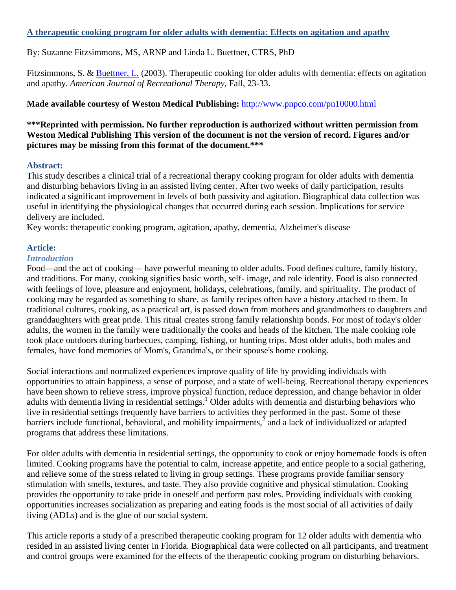## **A therapeutic cooking program for older adults with dementia: Effects on agitation and apathy**

By: Suzanne Fitzsimmons, MS, ARNP and Linda L. Buettner, CTRS, PhD

Fitzsimmons, S. & **Buettner, L.** (2003). Therapeutic cooking for older adults with dementia: effects on agitation and apathy. *American Journal of Recreational Therapy*, Fall, 23-33.

### **Made available courtesy of Weston Medical Publishing:** <http://www.pnpco.com/pn10000.html>

### **\*\*\*Reprinted with permission. No further reproduction is authorized without written permission from Weston Medical Publishing This version of the document is not the version of record. Figures and/or pictures may be missing from this format of the document.\*\*\***

#### **Abstract:**

This study describes a clinical trial of a recreational therapy cooking program for older adults with dementia and disturbing behaviors living in an assisted living center. After two weeks of daily participation, results indicated a significant improvement in levels of both passivity and agitation. Biographical data collection was useful in identifying the physiological changes that occurred during each session. Implications for service delivery are included.

Key words: therapeutic cooking program, agitation, apathy, dementia, Alzheimer's disease

#### **Article:**

#### *Introduction*

Food—and the act of cooking— have powerful meaning to older adults. Food defines culture, family history, and traditions. For many, cooking signifies basic worth, self- image, and role identity. Food is also connected with feelings of love, pleasure and enjoyment, holidays, celebrations, family, and spirituality. The product of cooking may be regarded as something to share, as family recipes often have a history attached to them. In traditional cultures, cooking, as a practical art, is passed down from mothers and grandmothers to daughters and granddaughters with great pride. This ritual creates strong family relationship bonds. For most of today's older adults, the women in the family were traditionally the cooks and heads of the kitchen. The male cooking role took place outdoors during barbecues, camping, fishing, or hunting trips. Most older adults, both males and females, have fond memories of Mom's, Grandma's, or their spouse's home cooking.

Social interactions and normalized experiences improve quality of life by providing individuals with opportunities to attain happiness, a sense of purpose, and a state of well-being. Recreational therapy experiences have been shown to relieve stress, improve physical function, reduce depression, and change behavior in older adults with dementia living in residential settings.<sup>1</sup> Older adults with dementia and disturbing behaviors who live in residential settings frequently have barriers to activities they performed in the past. Some of these barriers include functional, behavioral, and mobility impairments, $\frac{2}{3}$  and a lack of individualized or adapted programs that address these limitations.

For older adults with dementia in residential settings, the opportunity to cook or enjoy homemade foods is often limited. Cooking programs have the potential to calm, increase appetite, and entice people to a social gathering, and relieve some of the stress related to living in group settings. These programs provide familiar sensory stimulation with smells, textures, and taste. They also provide cognitive and physical stimulation. Cooking provides the opportunity to take pride in oneself and perform past roles. Providing individuals with cooking opportunities increases socialization as preparing and eating foods is the most social of all activities of daily living (ADLs) and is the glue of our social system.

This article reports a study of a prescribed therapeutic cooking program for 12 older adults with dementia who resided in an assisted living center in Florida. Biographical data were collected on all participants, and treatment and control groups were examined for the effects of the therapeutic cooking program on disturbing behaviors.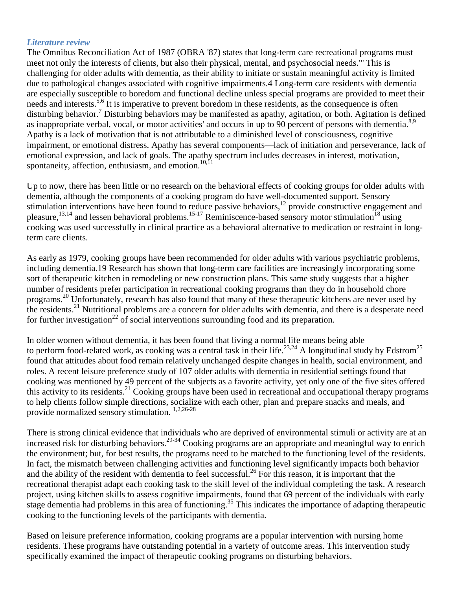#### *Literature review*

The Omnibus Reconciliation Act of 1987 (OBRA '87) states that long-term care recreational programs must meet not only the interests of clients, but also their physical, mental, and psychosocial needs."' This is challenging for older adults with dementia, as their ability to initiate or sustain meaningful activity is limited due to pathological changes associated with cognitive impairments.4 Long-term care residents with dementia are especially susceptible to boredom and functional decline unless special programs are provided to meet their needs and interests.<sup>5,6</sup> It is imperative to prevent boredom in these residents, as the consequence is often disturbing behavior.<sup>7</sup> Disturbing behaviors may be manifested as apathy, agitation, or both. Agitation is defined as inappropriate verbal, vocal, or motor activities' and occurs in up to 90 percent of persons with dementia.<sup>8,9</sup> Apathy is a lack of motivation that is not attributable to a diminished level of consciousness, cognitive impairment, or emotional distress. Apathy has several components—lack of initiation and perseverance, lack of emotional expression, and lack of goals. The apathy spectrum includes decreases in interest, motivation, spontaneity, affection, enthusiasm, and emotion.<sup>10,11</sup>

Up to now, there has been little or no research on the behavioral effects of cooking groups for older adults with dementia, although the components of a cooking program do have well-documented support. Sensory stimulation interventions have been found to reduce passive behaviors,<sup>12</sup> provide constructive engagement and pleasure,<sup>13,14</sup> and lessen behavioral problems.<sup>15-17</sup> Reminiscence-based sensory motor stimulation<sup>18</sup> using cooking was used successfully in clinical practice as a behavioral alternative to medication or restraint in longterm care clients.

As early as 1979, cooking groups have been recommended for older adults with various psychiatric problems, including dementia.19 Research has shown that long-term care facilities are increasingly incorporating some sort of therapeutic kitchen in remodeling or new construction plans. This same study suggests that a higher number of residents prefer participation in recreational cooking programs than they do in household chore programs.<sup>20</sup> Unfortunately, research has also found that many of these therapeutic kitchens are never used by the residents.<sup>21</sup> Nutritional problems are a concern for older adults with dementia, and there is a desperate need for further investigation<sup>22</sup> of social interventions surrounding food and its preparation.

In older women without dementia, it has been found that living a normal life means being able to perform food-related work, as cooking was a central task in their life.<sup>23,24</sup> A longitudinal study by Edstrom<sup>25</sup> found that attitudes about food remain relatively unchanged despite changes in health, social environment, and roles. A recent leisure preference study of 107 older adults with dementia in residential settings found that cooking was mentioned by 49 percent of the subjects as a favorite activity, yet only one of the five sites offered this activity to its residents.<sup>21</sup> Cooking groups have been used in recreational and occupational therapy programs to help clients follow simple directions, socialize with each other, plan and prepare snacks and meals, and provide normalized sensory stimulation. 1,2,26-28

There is strong clinical evidence that individuals who are deprived of environmental stimuli or activity are at an increased risk for disturbing behaviors.<sup>29-34</sup> Cooking programs are an appropriate and meaningful way to enrich the environment; but, for best results, the programs need to be matched to the functioning level of the residents. In fact, the mismatch between challenging activities and functioning level significantly impacts both behavior and the ability of the resident with dementia to feel successful.<sup>26</sup> For this reason, it is important that the recreational therapist adapt each cooking task to the skill level of the individual completing the task. A research project, using kitchen skills to assess cognitive impairments, found that 69 percent of the individuals with early stage dementia had problems in this area of functioning.<sup>35</sup> This indicates the importance of adapting therapeutic cooking to the functioning levels of the participants with dementia.

Based on leisure preference information, cooking programs are a popular intervention with nursing home residents. These programs have outstanding potential in a variety of outcome areas. This intervention study specifically examined the impact of therapeutic cooking programs on disturbing behaviors.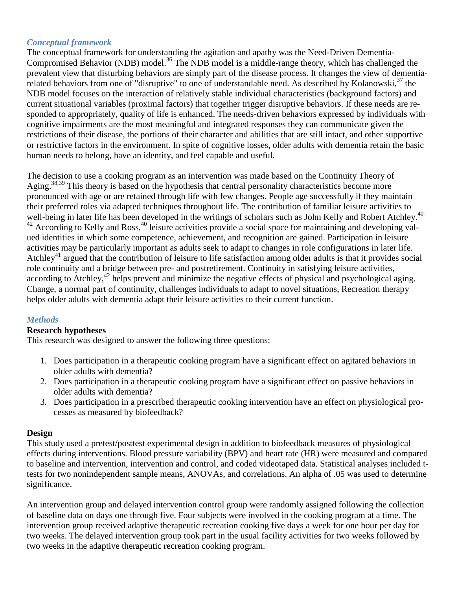#### *Conceptual framework*

The conceptual framework for understanding the agitation and apathy was the Need-Driven Dementia-Compromised Behavior (NDB) model.<sup>36</sup> The NDB model is a middle-range theory, which has challenged the prevalent view that disturbing behaviors are simply part of the disease process. It changes the view of dementiarelated behaviors from one of "disruptive" to one of understandable need. As described by Kolanowski,<sup>37</sup> the NDB model focuses on the interaction of relatively stable individual characteristics (background factors) and current situational variables (proximal factors) that together trigger disruptive behaviors. If these needs are responded to appropriately, quality of life is enhanced. The needs-driven behaviors expressed by individuals with cognitive impairments are the most meaningful and integrated responses they can communicate given the restrictions of their disease, the portions of their character and abilities that are still intact, and other supportive or restrictive factors in the environment. In spite of cognitive losses, older adults with dementia retain the basic human needs to belong, have an identity, and feel capable and useful.

The decision to use a cooking program as an intervention was made based on the Continuity Theory of Aging.<sup>38,39</sup> This theory is based on the hypothesis that central personality characteristics become more pronounced with age or are retained through life with few changes. People age successfully if they maintain their preferred roles via adapted techniques throughout life. The contribution of familiar leisure activities to well-being in later life has been developed in the writings of scholars such as John Kelly and Robert Atchley.<sup>40-</sup>  $42$  According to Kelly and Ross,  $40$  leisure activities provide a social space for maintaining and developing valued identities in which some competence, achievement, and recognition are gained. Participation in leisure activities may be particularly important as adults seek to adapt to changes in role configurations in later life. Atchley<sup>41</sup> argued that the contribution of leisure to life satisfaction among older adults is that it provides social role continuity and a bridge between pre- and postretirement. Continuity in satisfying leisure activities, according to Atchley,<sup>42</sup> helps prevent and minimize the negative effects of physical and psychological aging. Change, a normal part of continuity, challenges individuals to adapt to novel situations, Recreation therapy helps older adults with dementia adapt their leisure activities to their current function.

## *Methods*

#### **Research hypotheses**

This research was designed to answer the following three questions:

- 1. Does participation in a therapeutic cooking program have a significant effect on agitated behaviors in older adults with dementia?
- 2. Does participation in a therapeutic cooking program have a significant effect on passive behaviors in older adults with dementia?
- 3. Does participation in a prescribed therapeutic cooking intervention have an effect on physiological processes as measured by biofeedback?

#### **Design**

This study used a pretest/posttest experimental design in addition to biofeedback measures of physiological effects during interventions. Blood pressure variability (BPV) and heart rate (HR) were measured and compared to baseline and intervention, intervention and control, and coded videotaped data. Statistical analyses included ttests for two nonindependent sample means, ANOVAs, and correlations. An alpha of .05 was used to determine significance.

An intervention group and delayed intervention control group were randomly assigned following the collection of baseline data on days one through five. Four subjects were involved in the cooking program at a time. The intervention group received adaptive therapeutic recreation cooking five days a week for one hour per day for two weeks. The delayed intervention group took part in the usual facility activities for two weeks followed by two weeks in the adaptive therapeutic recreation cooking program.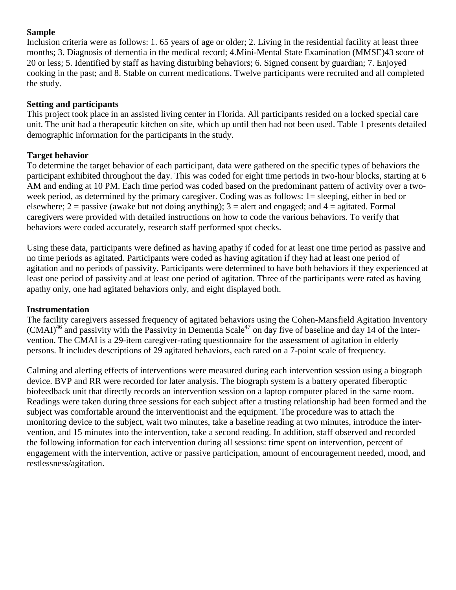# **Sample**

Inclusion criteria were as follows: 1. 65 years of age or older; 2. Living in the residential facility at least three months; 3. Diagnosis of dementia in the medical record; 4.Mini-Mental State Examination (MMSE)43 score of 20 or less; 5. Identified by staff as having disturbing behaviors; 6. Signed consent by guardian; 7. Enjoyed cooking in the past; and 8. Stable on current medications. Twelve participants were recruited and all completed the study.

# **Setting and participants**

This project took place in an assisted living center in Florida. All participants resided on a locked special care unit. The unit had a therapeutic kitchen on site, which up until then had not been used. Table 1 presents detailed demographic information for the participants in the study.

# **Target behavior**

To determine the target behavior of each participant, data were gathered on the specific types of behaviors the participant exhibited throughout the day. This was coded for eight time periods in two-hour blocks, starting at 6 AM and ending at 10 PM. Each time period was coded based on the predominant pattern of activity over a twoweek period, as determined by the primary caregiver. Coding was as follows: 1= sleeping, either in bed or elsewhere;  $2 =$  passive (awake but not doing anything);  $3 =$  alert and engaged; and  $4 =$  agitated. Formal caregivers were provided with detailed instructions on how to code the various behaviors. To verify that behaviors were coded accurately, research staff performed spot checks.

Using these data, participants were defined as having apathy if coded for at least one time period as passive and no time periods as agitated. Participants were coded as having agitation if they had at least one period of agitation and no periods of passivity. Participants were determined to have both behaviors if they experienced at least one period of passivity and at least one period of agitation. Three of the participants were rated as having apathy only, one had agitated behaviors only, and eight displayed both.

## **Instrumentation**

The facility caregivers assessed frequency of agitated behaviors using the Cohen-Mansfield Agitation Inventory  $(CMAI)^{46}$  and passivity with the Passivity in Dementia Scale<sup>47</sup> on day five of baseline and day 14 of the intervention. The CMAI is a 29-item caregiver-rating questionnaire for the assessment of agitation in elderly persons. It includes descriptions of 29 agitated behaviors, each rated on a 7-point scale of frequency.

Calming and alerting effects of interventions were measured during each intervention session using a biograph device. BVP and RR were recorded for later analysis. The biograph system is a battery operated fiberoptic biofeedback unit that directly records an intervention session on a laptop computer placed in the same room. Readings were taken during three sessions for each subject after a trusting relationship had been formed and the subject was comfortable around the interventionist and the equipment. The procedure was to attach the monitoring device to the subject, wait two minutes, take a baseline reading at two minutes, introduce the intervention, and 15 minutes into the intervention, take a second reading. In addition, staff observed and recorded the following information for each intervention during all sessions: time spent on intervention, percent of engagement with the intervention, active or passive participation, amount of encouragement needed, mood, and restlessness/agitation.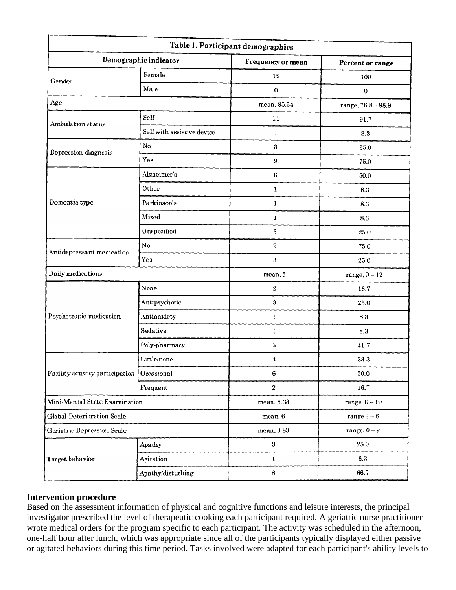| Table 1. Participant demographics            |                            |                           |                    |  |  |
|----------------------------------------------|----------------------------|---------------------------|--------------------|--|--|
| Demographic indicator                        |                            | Frequency or mean         | Percent or range   |  |  |
| Gender                                       | Female                     | 12                        | 100                |  |  |
|                                              | Male                       | $\bf{0}$                  | $\mathbf{0}$       |  |  |
| Age                                          |                            | mean, 85.54               | range, 76.8 - 98.9 |  |  |
| Ambulation status                            | Self                       | 11                        | 91.7               |  |  |
|                                              | Self with assistive device | 1                         | 8.3                |  |  |
| Depression diagnosis                         | No                         | $\mathbf{3}$              | 25.0               |  |  |
|                                              | Yes                        | $\boldsymbol{9}$          | 75.0               |  |  |
|                                              | Alzheimer's                | $\boldsymbol{6}$          | 50.0               |  |  |
|                                              | Other                      | $\mathbf{1}$              | 8.3                |  |  |
| Dementia type                                | Parkinson's                | $\mathbf{1}$              | 8.3                |  |  |
|                                              | Mixed                      | $\mathbf{1}$              | 8.3                |  |  |
|                                              | Unspecified                | 3                         | 25.0               |  |  |
|                                              | $_{\rm No}$                | 9                         | 75.0               |  |  |
| Antidepressant medication                    | Yes                        | 3                         | 25.0               |  |  |
| Daily medications                            |                            | mean, 5                   | range, $0 - 12$    |  |  |
|                                              | None                       | $\,2\,$                   | 16.7               |  |  |
|                                              | Antipsychotic              | $\boldsymbol{\mathrm{3}}$ | 25.0               |  |  |
| Psychotropic medication                      | Antianxiety                | $\mathbf{1}$              | 8.3                |  |  |
|                                              | Sedative                   | $\mathbf{I}$              | $\ \, 8.3$         |  |  |
|                                              | Poly-pharmacy              | $\overline{5}$            | 417                |  |  |
| Facility activity participation   Occasional | Little/none                | $\boldsymbol{4}$          | 33.3               |  |  |
|                                              |                            | 6                         | 50.0               |  |  |
|                                              | Frequent                   | $\,2\,$                   | 16.7               |  |  |
| Mini-Mental State Examination                |                            | mean, 8.33                | range, $0 - 19$    |  |  |
| <b>Global Deterioration Scale</b>            |                            | mean, 6                   | range $4-6$        |  |  |
| Geriatric Depression Scale                   |                            | mean, 3.83                | range, $0-9$       |  |  |
|                                              | Apathy                     | 3                         | 25.0               |  |  |
| Target behavior                              | Agitation                  | $\mathbf 1$               | 8.3                |  |  |
|                                              | Apathy/disturbing          | $\bf8$                    | 66.7               |  |  |

## **Intervention procedure**

Based on the assessment information of physical and cognitive functions and leisure interests, the principal investigator prescribed the level of therapeutic cooking each participant required. A geriatric nurse practitioner wrote medical orders for the program specific to each participant. The activity was scheduled in the afternoon, one-half hour after lunch, which was appropriate since all of the participants typically displayed either passive or agitated behaviors during this time period. Tasks involved were adapted for each participant's ability levels to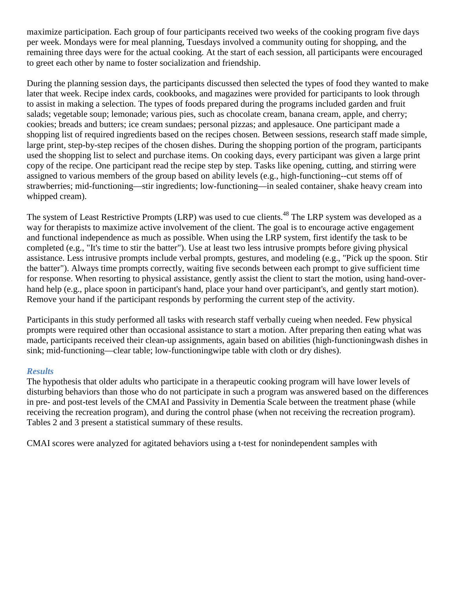maximize participation. Each group of four participants received two weeks of the cooking program five days per week. Mondays were for meal planning, Tuesdays involved a community outing for shopping, and the remaining three days were for the actual cooking. At the start of each session, all participants were encouraged to greet each other by name to foster socialization and friendship.

During the planning session days, the participants discussed then selected the types of food they wanted to make later that week. Recipe index cards, cookbooks, and magazines were provided for participants to look through to assist in making a selection. The types of foods prepared during the programs included garden and fruit salads; vegetable soup; lemonade; various pies, such as chocolate cream, banana cream, apple, and cherry; cookies; breads and butters; ice cream sundaes; personal pizzas; and applesauce. One participant made a shopping list of required ingredients based on the recipes chosen. Between sessions, research staff made simple, large print, step-by-step recipes of the chosen dishes. During the shopping portion of the program, participants used the shopping list to select and purchase items. On cooking days, every participant was given a large print copy of the recipe. One participant read the recipe step by step. Tasks like opening, cutting, and stirring were assigned to various members of the group based on ability levels (e.g., high-functioning--cut stems off of strawberries; mid-functioning—stir ingredients; low-functioning—in sealed container, shake heavy cream into whipped cream).

The system of Least Restrictive Prompts (LRP) was used to cue clients.<sup>48</sup> The LRP system was developed as a way for therapists to maximize active involvement of the client. The goal is to encourage active engagement and functional independence as much as possible. When using the LRP system, first identify the task to be completed (e.g., "It's time to stir the batter"). Use at least two less intrusive prompts before giving physical assistance. Less intrusive prompts include verbal prompts, gestures, and modeling (e.g., "Pick up the spoon. Stir the batter"). Always time prompts correctly, waiting five seconds between each prompt to give sufficient time for response. When resorting to physical assistance, gently assist the client to start the motion, using hand-overhand help (e.g., place spoon in participant's hand, place your hand over participant's, and gently start motion). Remove your hand if the participant responds by performing the current step of the activity.

Participants in this study performed all tasks with research staff verbally cueing when needed. Few physical prompts were required other than occasional assistance to start a motion. After preparing then eating what was made, participants received their clean-up assignments, again based on abilities (high-functioningwash dishes in sink; mid-functioning—clear table; low-functioningwipe table with cloth or dry dishes).

## *Results*

The hypothesis that older adults who participate in a therapeutic cooking program will have lower levels of disturbing behaviors than those who do not participate in such a program was answered based on the differences in pre- and post-test levels of the CMAI and Passivity in Dementia Scale between the treatment phase (while receiving the recreation program), and during the control phase (when not receiving the recreation program). Tables 2 and 3 present a statistical summary of these results.

CMAI scores were analyzed for agitated behaviors using a t-test for nonindependent samples with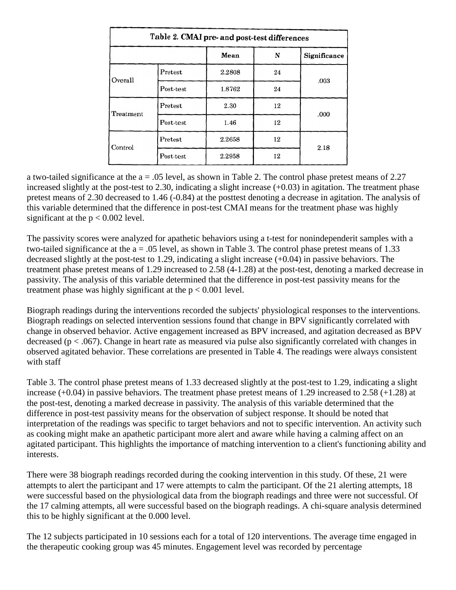| Table 2. CMAI pre- and post-test differences |                        |        |    |              |
|----------------------------------------------|------------------------|--------|----|--------------|
|                                              |                        | Mean   | N  | Significance |
| Overall                                      | Pretest                | 2.2808 | 24 | .003         |
|                                              | Post-test              | 1.8762 | 24 |              |
| Treatment                                    | Pretest                | 2.30   | 12 | .000         |
|                                              | $Post-test$            | 1.46   | 12 |              |
| Control                                      | $P$ retest             | 2.2658 | 12 | 2.18         |
|                                              | $\rm Post\text{-}test$ | 2.2958 | 12 |              |

a two-tailed significance at the a = .05 level, as shown in Table 2. The control phase pretest means of 2.27 increased slightly at the post-test to 2.30, indicating a slight increase (+0.03) in agitation. The treatment phase pretest means of 2.30 decreased to 1.46 (-0.84) at the posttest denoting a decrease in agitation. The analysis of this variable determined that the difference in post-test CMAI means for the treatment phase was highly significant at the  $p < 0.002$  level.

The passivity scores were analyzed for apathetic behaviors using a t-test for nonindependerit samples with a two-tailed significance at the  $a = .05$  level, as shown in Table 3. The control phase pretest means of 1.33 decreased slightly at the post-test to 1.29, indicating a slight increase (+0.04) in passive behaviors. The treatment phase pretest means of 1.29 increased to 2.58 (4-1.28) at the post-test, denoting a marked decrease in passivity. The analysis of this variable determined that the difference in post-test passivity means for the treatment phase was highly significant at the  $p < 0.001$  level.

Biograph readings during the interventions recorded the subjects' physiological responses to the interventions. Biograph readings on selected intervention sessions found that change in BPV significantly correlated with change in observed behavior. Active engagement increased as BPV increased, and agitation decreased as BPV decreased ( $p < .067$ ). Change in heart rate as measured via pulse also significantly correlated with changes in observed agitated behavior. These correlations are presented in Table 4. The readings were always consistent with staff

Table 3. The control phase pretest means of 1.33 decreased slightly at the post-test to 1.29, indicating a slight increase (+0.04) in passive behaviors. The treatment phase pretest means of 1.29 increased to 2.58 (+1.28) at the post-test, denoting a marked decrease in passivity. The analysis of this variable determined that the difference in post-test passivity means for the observation of subject response. It should be noted that interpretation of the readings was specific to target behaviors and not to specific intervention. An activity such as cooking might make an apathetic participant more alert and aware while having a calming affect on an agitated participant. This highlights the importance of matching intervention to a client's functioning ability and interests.

There were 38 biograph readings recorded during the cooking intervention in this study. Of these, 21 were attempts to alert the participant and 17 were attempts to calm the participant. Of the 21 alerting attempts, 18 were successful based on the physiological data from the biograph readings and three were not successful. Of the 17 calming attempts, all were successful based on the biograph readings. A chi-square analysis determined this to be highly significant at the 0.000 level.

The 12 subjects participated in 10 sessions each for a total of 120 interventions. The average time engaged in the therapeutic cooking group was 45 minutes. Engagement level was recorded by percentage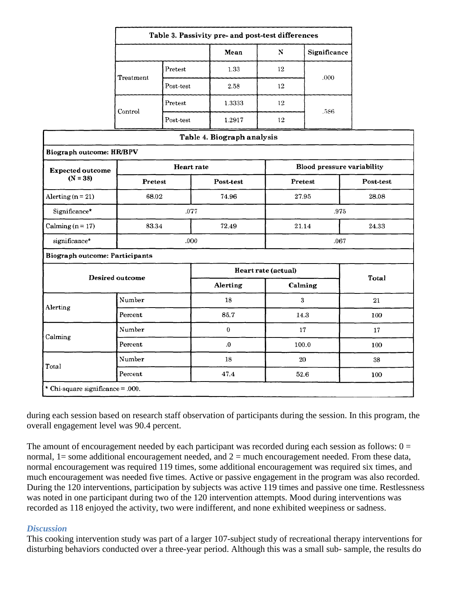| Table 3. Passivity pre- and post-test differences |           |        |    |              |
|---------------------------------------------------|-----------|--------|----|--------------|
|                                                   |           | Mean   | N  | Significance |
| Treatment                                         | Pretest   | 1.33   | 12 | .000         |
|                                                   | Post-test | 2.58   | 12 |              |
| Control                                           | Pretest   | 1.3333 | 12 | .586         |
|                                                   | Post-test | 1.2917 | 12 |              |

|                                       |                   | Table 4. Biograph analysis |                                   |           |
|---------------------------------------|-------------------|----------------------------|-----------------------------------|-----------|
| <b>Biograph outcome: HR/BPV</b>       |                   |                            |                                   |           |
| <b>Expected outcome</b><br>$(N = 38)$ | <b>Heart</b> rate |                            | <b>Blood pressure variability</b> |           |
|                                       | Pretest           | Post-test                  | Pretest                           | Post-test |
| Alerting $(n = 21)$                   | 68.02             | 74.96                      | 27.95                             | 28.08     |
| Significance*                         |                   | .077<br>.975               |                                   |           |
| Calming $(n = 17)$                    | 83.34             | 72.49                      | 21.14                             | 24.33     |
| significance*                         | .000              |                            | .067                              |           |
| <b>Biograph outcome: Participants</b> |                   |                            |                                   |           |
| <b>Desired outcome</b>                |                   | Heart rate (actual)        |                                   | Total     |
|                                       |                   | Alerting                   | Calming                           |           |
| Alerting                              | Number            | 18                         | 3                                 | 21        |
|                                       | Percent           | 85.7                       | 14.3                              | 100       |
| Calming                               | Number            | $\mathbf{0}$               | 17                                | 17        |
|                                       | Percent           | $\boldsymbol{0}$           | 100.0                             | 100       |
| Total                                 | Number            | 18                         | 20                                | 38        |
|                                       | Percent           | 47.4                       | 52.6                              | 100       |
| * Chi-square significance = .000.     |                   |                            |                                   |           |

during each session based on research staff observation of participants during the session. In this program, the overall engagement level was 90.4 percent.

The amount of encouragement needed by each participant was recorded during each session as follows:  $0 =$ normal,  $1 =$  some additional encouragement needed, and  $2 =$  much encouragement needed. From these data, normal encouragement was required 119 times, some additional encouragement was required six times, and much encouragement was needed five times. Active or passive engagement in the program was also recorded. During the 120 interventions, participation by subjects was active 119 times and passive one time. Restlessness was noted in one participant during two of the 120 intervention attempts. Mood during interventions was recorded as 118 enjoyed the activity, two were indifferent, and none exhibited weepiness or sadness.

#### *Discussion*

This cooking intervention study was part of a larger 107-subject study of recreational therapy interventions for disturbing behaviors conducted over a three-year period. Although this was a small sub- sample, the results do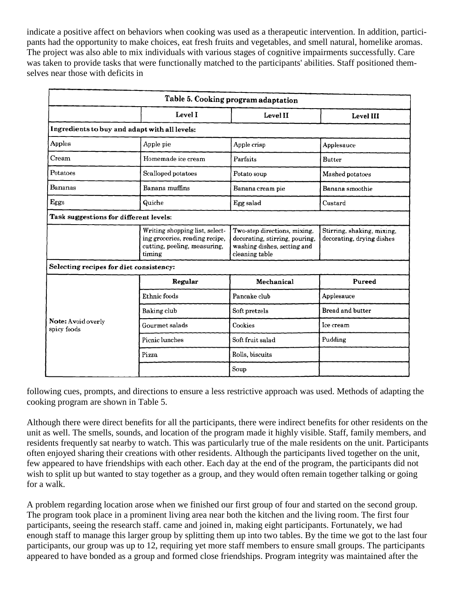indicate a positive affect on behaviors when cooking was used as a therapeutic intervention. In addition, participants had the opportunity to make choices, eat fresh fruits and vegetables, and smell natural, homelike aromas. The project was also able to mix individuals with various stages of cognitive impairments successfully. Care was taken to provide tasks that were functionally matched to the participants' abilities. Staff positioned themselves near those with deficits in

| Table 5. Cooking program adaptation           |                                                                                                            |                                                                                                                 |                                                         |  |  |
|-----------------------------------------------|------------------------------------------------------------------------------------------------------------|-----------------------------------------------------------------------------------------------------------------|---------------------------------------------------------|--|--|
|                                               | Level I                                                                                                    | Level II                                                                                                        | Level III                                               |  |  |
| Ingredients to buy and adapt with all levels: |                                                                                                            |                                                                                                                 |                                                         |  |  |
| Apples                                        | Apple pie<br>Apple crisp                                                                                   |                                                                                                                 | Applesauce                                              |  |  |
| Cream                                         | Homemade ice cream<br>Parfaits                                                                             |                                                                                                                 | <b>Butter</b>                                           |  |  |
| Potatoes                                      | Scalloped potatoes<br>Potato soup                                                                          |                                                                                                                 | Mashed potatoes                                         |  |  |
| Bananas                                       | Banana muffins<br>Banana cream pie                                                                         |                                                                                                                 | Banana smoothie                                         |  |  |
| Eggs                                          | Quiche<br>Egg salad                                                                                        |                                                                                                                 | Custard                                                 |  |  |
| Task suggestions for different levels:        |                                                                                                            |                                                                                                                 |                                                         |  |  |
|                                               | Writing shopping list, select-<br>ing groceries, reading recipe,<br>cutting, peeling, measuring,<br>timing | Two-step directions, mixing,<br>decorating, stirring, pouring,<br>washing dishes, setting and<br>cleaning table | Stirring, shaking, mixing,<br>decorating, drying dishes |  |  |
| Selecting recipes for diet consistency:       |                                                                                                            |                                                                                                                 |                                                         |  |  |
|                                               | Regular                                                                                                    | Mechanical                                                                                                      | Pureed                                                  |  |  |
| Note: Avoid overly<br>spicy foods             | Ethnic foods                                                                                               | Pancake club                                                                                                    | Applesauce                                              |  |  |
|                                               | Baking club                                                                                                | Soft pretzels                                                                                                   | Bread and butter                                        |  |  |
|                                               | Gourmet salads                                                                                             | Cookies                                                                                                         | Ice cream                                               |  |  |
|                                               | Picnic lunches                                                                                             | Soft fruit salad                                                                                                | Pudding                                                 |  |  |
|                                               | Pizza                                                                                                      | Rolls, biscuits                                                                                                 |                                                         |  |  |
|                                               |                                                                                                            | Soup                                                                                                            |                                                         |  |  |

following cues, prompts, and directions to ensure a less restrictive approach was used. Methods of adapting the cooking program are shown in Table 5.

Although there were direct benefits for all the participants, there were indirect benefits for other residents on the unit as well. The smells, sounds, and location of the program made it highly visible. Staff, family members, and residents frequently sat nearby to watch. This was particularly true of the male residents on the unit. Participants often enjoyed sharing their creations with other residents. Although the participants lived together on the unit, few appeared to have friendships with each other. Each day at the end of the program, the participants did not wish to split up but wanted to stay together as a group, and they would often remain together talking or going for a walk.

A problem regarding location arose when we finished our first group of four and started on the second group. The program took place in a prominent living area near both the kitchen and the living room. The first four participants, seeing the research staff. came and joined in, making eight participants. Fortunately, we had enough staff to manage this larger group by splitting them up into two tables. By the time we got to the last four participants, our group was up to 12, requiring yet more staff members to ensure small groups. The participants appeared to have bonded as a group and formed close friendships. Program integrity was maintained after the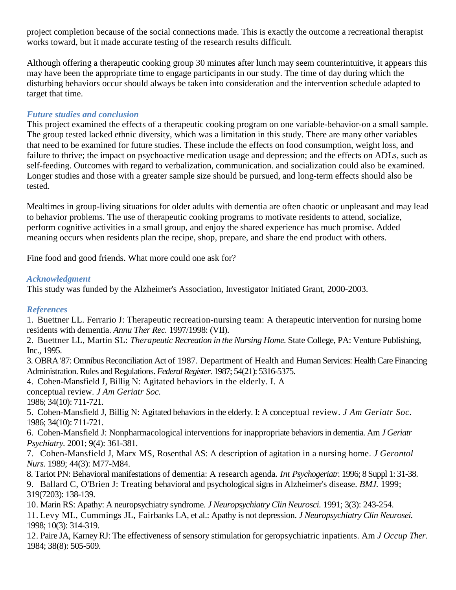project completion because of the social connections made. This is exactly the outcome a recreational therapist works toward, but it made accurate testing of the research results difficult.

Although offering a therapeutic cooking group 30 minutes after lunch may seem counterintuitive, it appears this may have been the appropriate time to engage participants in our study. The time of day during which the disturbing behaviors occur should always be taken into consideration and the intervention schedule adapted to target that time.

# *Future studies and conclusion*

This project examined the effects of a therapeutic cooking program on one variable-behavior-on a small sample. The group tested lacked ethnic diversity, which was a limitation in this study. There are many other variables that need to be examined for future studies. These include the effects on food consumption, weight loss, and failure to thrive; the impact on psychoactive medication usage and depression; and the effects on ADLs, such as self-feeding. Outcomes with regard to verbalization, communication. and socialization could also be examined. Longer studies and those with a greater sample size should be pursued, and long-term effects should also be tested.

Mealtimes in group-living situations for older adults with dementia are often chaotic or unpleasant and may lead to behavior problems. The use of therapeutic cooking programs to motivate residents to attend, socialize, perform cognitive activities in a small group, and enjoy the shared experience has much promise. Added meaning occurs when residents plan the recipe, shop, prepare, and share the end product with others.

Fine food and good friends. What more could one ask for?

# *Acknowledgment*

This study was funded by the Alzheimer's Association, Investigator Initiated Grant, 2000-2003.

# *References*

1. Buettner LL. Ferrario J: Therapeutic recreation-nursing team: A therapeutic intervention for nursing home residents with dementia. *Annu Ther Rec.* 1997/1998: (VII).

2. Buettner LL, Martin SL: *Therapeutic Recreation in the Nursing Home.* State College, PA: Venture Publishing, Inc., 1995.

3. OBRA '87: Omnibus Reconciliation Act of 1987. Department of Health and Human Services: Health Care Financing Administration. Rules and Regulations. *Federal Register.* 1987; 54(21): 5316-5375.

4. Cohen-Mansfield J, Billig N: Agitated behaviors in the elderly. I. A

conceptual review. *J Am Geriatr Soc.*

1986; 34(10): 711-721.

5. Cohen-Mansfield J, Billig N: Agitated behaviors in the elderly. I: A conceptual review. *J Am Geriatr Soc.*  1986; 34(10): 711-721.

6. Cohen-Mansfield J: Nonpharmacological interventions for inappropriate behaviors in dementia. Am *J Geriatr Psychiatry.* 2001; 9(4): 361-381.

7. Cohen-Mansfield J, Marx MS, Rosenthal AS: A description of agitation in a nursing home. *J Gerontol Nurs.* 1989; 44(3): M77-M84.

8. Tariot PN: Behavioral manifestations of dementia: A research agenda. *Int Psychogeriatr.* 1996; 8 Suppl 1: 31-38. 9. Ballard C, O'Brien J: Treating behavioral and psychological signs in Alzheimer's disease. *BMJ.* 1999; 319(7203): 138-139.

10. Marin RS: Apathy: A neuropsychiatry syndrome. *J Neuropsychiatry Clin Neurosci.* 1991; 3(3): 243-254. 11. Levy ML, Cummings JL, Fairbanks LA, et al.: Apathy is not depression. *J Neuropsychiatry Clin Neurosei.*  1998; 10(3): 314-319.

12. Paire JA, Karney RJ: The effectiveness of sensory stimulation for geropsychiatric inpatients. Am *J Occup Ther.*  1984; 38(8): 505-509.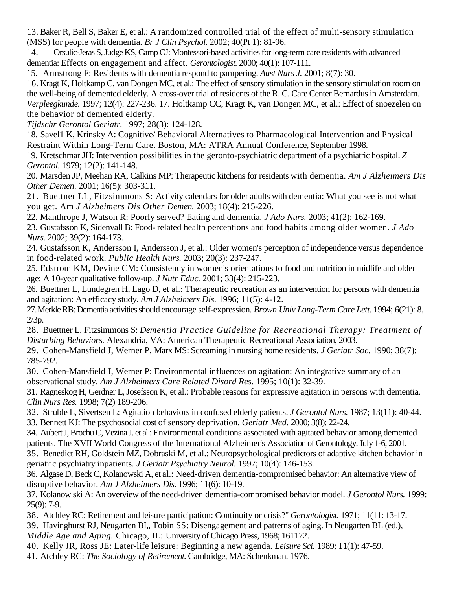13. Baker R, Bell S, Baker E, et al.: A randomized controlled trial of the effect of multi-sensory stimulation (MSS) for people with dementia. *Br J Clin Psychol.* 2002; 40(Pt 1): 81-96.

14. Orsulic-Jeras S, Judge KS, Camp CJ: Montessori-based activities for long-term care residents with advanced dementia: Effects on engagement and affect. *Gerontologist.* 2000; 40(1): 107-111.

15. Armstrong F: Residents with dementia respond to pampering. *Aust Nurs J.* 2001; 8(7): 30.

16. Kragt K, Holtkamp C, van Dongen MC, et al.: The effect of sensory stimulation in the sensory stimulation room on the well-being of demented elderly. A cross-over trial of residents of the R. C. Care Center Bernardus in Amsterdam. *Verpleegkunde.* 1997; 12(4): 227-236. 17. Holtkamp CC, Kragt K, van Dongen MC, et al.: Effect of snoezelen on the behavior of demented elderly.

*Tijdschr Gerontol Geriatr.* 1997; 28(3): 124-128.

18. Savel1 K, Krinsky A: Cognitive/ Behavioral Alternatives to Pharmacological Intervention and Physical Restraint Within Long-Term Care. Boston, MA: ATRA Annual Conference, September 1998.

19. Kretschmar JH: Intervention possibilities in the geronto-psychiatric department of a psychiatric hospital. *Z Gerontol.* 1979; 12(2): 141-148.

20. Marsden JP, Meehan RA, Calkins MP: Therapeutic kitchens for residents with dementia. *Am J Alzheimers Dis Other Demen.* 2001; 16(5): 303-311.

21. Buettner LL, Fitzsimmons S: Activity calendars for older adults with dementia: What you see is not what you get. Am *J Alzheimers Dis Other Demen.* 2003; 18(4): 215-226.

22. Manthrope J, Watson R: Poorly served? Eating and dementia. *J Ado Nurs.* 2003; 41(2): 162-169.

23. Gustafsson K, Sidenvall B: Food- related health perceptions and food habits among older women. *J Ado Nurs.* 2002; 39(2): 164-173.

24. Gustafsson K, Andersson I, Andersson J, et al.: Older women's perception of independence versus dependence in food-related work. *Public Health Nurs.* 2003; 20(3): 237-247.

25. Edstrom KM, Devine CM: Consistency in women's orientations to food and nutrition in midlife and older age: A 10-year qualitative follow-up. *J Nutr Educ.* 2001; 33(4): 215-223.

26. Buettner L, Lundegren H, Lago D, et al.: Therapeutic recreation as an intervention for persons with dementia and agitation: An efficacy study. *Am J Alzheimers Dis.* 1996; 11(5): 4-12.

27.Merkle RB: Dementia activities should encourage self-expression. *Brown Univ Long-Term Care Lett.* 1994; 6(21): 8, 2/3p.

28. Buettner L, Fitzsimmons S: *Dementia Practice Guideline for Recreational Therapy: Treatment of Disturbing Behaviors.* Alexandria, VA: American Therapeutic Recreational Association, 2003.

29. Cohen-Mansfield J, Werner P, Marx MS: Screaming in nursing home residents. *J Geriatr Soc.* 1990; 38(7): 785-792.

30. Cohen-Mansfield J, Werner P: Environmental influences on agitation: An integrative summary of an observational study. *Am J Alzheimers Care Related Disord Res.* 1995; 10(1): 32-39.

31. Ragneskog H, Gerdner L, Josefsson K, et al.: Probable reasons for expressive agitation in persons with dementia. *Clin Nurs Res.* 1998; 7(2) 189-206.

32. Struble L, Sivertsen L: Agitation behaviors in confused elderly patients. *J Gerontol Nurs.* 1987; 13(11): 40-44. 33. Bennett KJ: The psychosocial cost of sensory deprivation. *Geriatr Med.* 2000; 3(8): 22-24.

34. Aubert J, Brochu C, Vezina J. et al.: Environmental conditions associated with agitated behavior among demented patients. The XVII World Congress of the International Alzheimer's Association of Gerontology. July 1-6, 2001.

35. Benedict RH, Goldstein MZ, Dobraski M, et al.: Neuropsychological predictors of adaptive kitchen behavior in geriatric psychiatry inpatients. *J Geriatr Psychiatry Neurol.* 1997; 10(4): 146-153.

36. Algase D, Beck C, Kolanowski A, et al.: Need-driven dementia-compromised behavior: An alternative view of disruptive behavior. *Am J Alzheimers Dis.* 1996; 11(6): 10-19.

37. Kolanow ski A: An overview of the need-driven dementia-compromised behavior model. *J Gerontol Nurs.* 1999: 25(9): 7-9.

38. Atchley RC: Retirement and leisure participation: Continuity or crisis?" *Gerontologist.* 1971; 11(11: 13-17.

39. Havinghurst RJ, Neugarten BI,, Tobin SS: Disengagement and patterns of aging. In Neugarten BL (ed.),

*Middle Age and Aging.* Chicago, IL: University of Chicago Press, 1968; 161172.

40. Kelly JR, Ross JE: Later-life leisure: Beginning a new agenda. *Leisure Sci.* 1989; 11(1): 47-59.

41. Atchley RC: *The Sociology of Retirement.* Cambridge, MA: Schenkman. 1976.